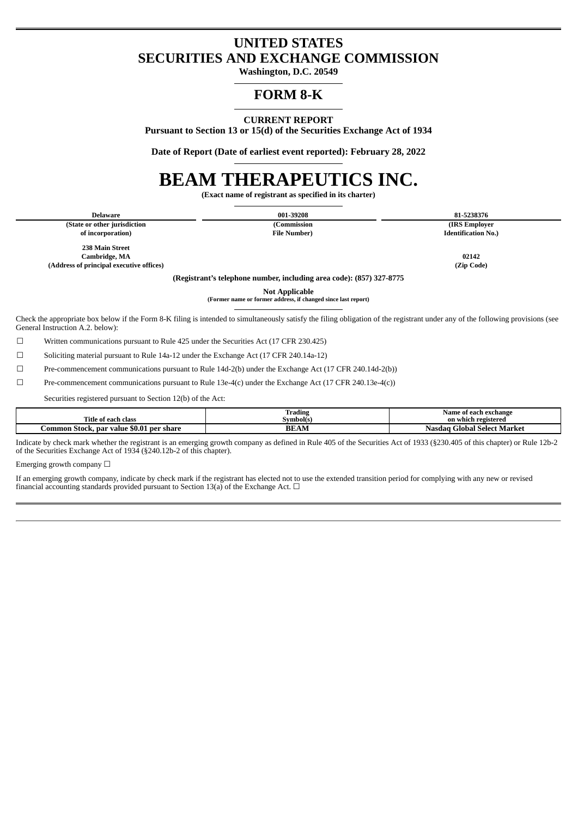# **UNITED STATES SECURITIES AND EXCHANGE COMMISSION**

**Washington, D.C. 20549**

# **FORM 8-K**

**CURRENT REPORT**

**Pursuant to Section 13 or 15(d) of the Securities Exchange Act of 1934**

**Date of Report (Date of earliest event reported): February 28, 2022**

# **BEAM THERAPEUTICS INC.**

**(Exact name of registrant as specified in its charter)**

**(State or other jurisdiction (Commission (IRS Employer of incorporation) File Number) Identification No.)**

**Delaware 001-39208 81-5238376**

**238 Main Street Cambridge, MA 02142 (Address of principal executive offices) (Zip Code)**

**(Registrant's telephone number, including area code): (857) 327-8775**

**Not Applicable (Former name or former address, if changed since last report)**

Check the appropriate box below if the Form 8-K filing is intended to simultaneously satisfy the filing obligation of the registrant under any of the following provisions (see General Instruction A.2. below):

☐ Written communications pursuant to Rule 425 under the Securities Act (17 CFR 230.425)

☐ Soliciting material pursuant to Rule 14a-12 under the Exchange Act (17 CFR 240.14a-12)

☐ Pre-commencement communications pursuant to Rule 14d-2(b) under the Exchange Act (17 CFR 240.14d-2(b))

☐ Pre-commencement communications pursuant to Rule 13e-4(c) under the Exchange Act (17 CFR 240.13e-4(c))

Securities registered pursuant to Section 12(b) of the Act:

| Title<br>: of each class                                    | $\sim$<br><br>radins<br>5vmbol(s) | e of each exchange<br>Name<br>on which registered |
|-------------------------------------------------------------|-----------------------------------|---------------------------------------------------|
| \$0.01<br>. per share<br>Stock.<br>.ommon<br>value<br>. nar | AN<br>ВE                          | Global Select Market<br>Nasdaɑ (                  |

Indicate by check mark whether the registrant is an emerging growth company as defined in Rule 405 of the Securities Act of 1933 (§230.405 of this chapter) or Rule 12b-2 of the Securities Exchange Act of 1934 (§240.12b-2 of this chapter).

Emerging growth company  $\Box$ 

If an emerging growth company, indicate by check mark if the registrant has elected not to use the extended transition period for complying with any new or revised financial accounting standards provided pursuant to Section 13(a) of the Exchange Act.  $\Box$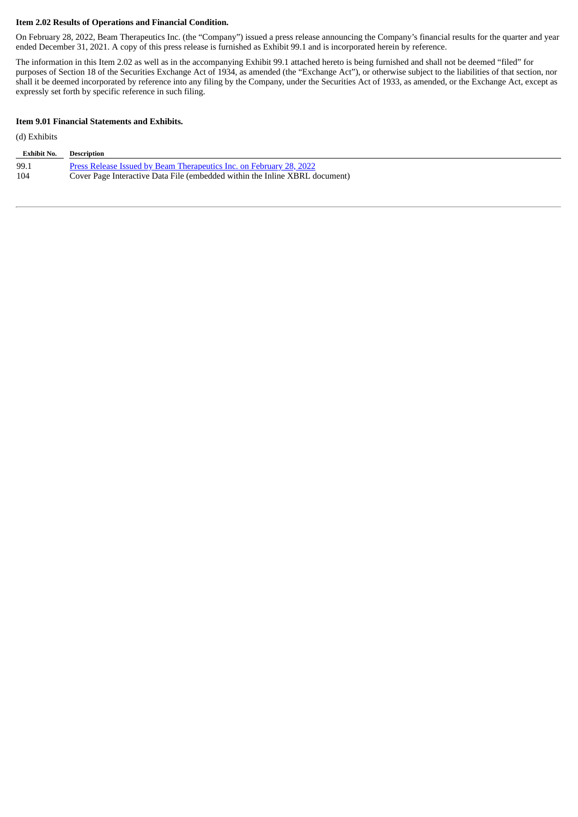#### **Item 2.02 Results of Operations and Financial Condition.**

On February 28, 2022, Beam Therapeutics Inc. (the "Company") issued a press release announcing the Company's financial results for the quarter and year ended December 31, 2021. A copy of this press release is furnished as Exhibit 99.1 and is incorporated herein by reference.

The information in this Item 2.02 as well as in the accompanying Exhibit 99.1 attached hereto is being furnished and shall not be deemed "filed" for purposes of Section 18 of the Securities Exchange Act of 1934, as amended (the "Exchange Act"), or otherwise subject to the liabilities of that section, nor shall it be deemed incorporated by reference into any filing by the Company, under the Securities Act of 1933, as amended, or the Exchange Act, except as expressly set forth by specific reference in such filing.

#### **Item 9.01 Financial Statements and Exhibits.**

#### (d) Exhibits

| <b>Exhibit No.</b> | Description                                                                 |
|--------------------|-----------------------------------------------------------------------------|
| 99.1               | <b>Press Release Issued by Beam Therapeutics Inc. on February 28, 2022</b>  |
| 104                | Cover Page Interactive Data File (embedded within the Inline XBRL document) |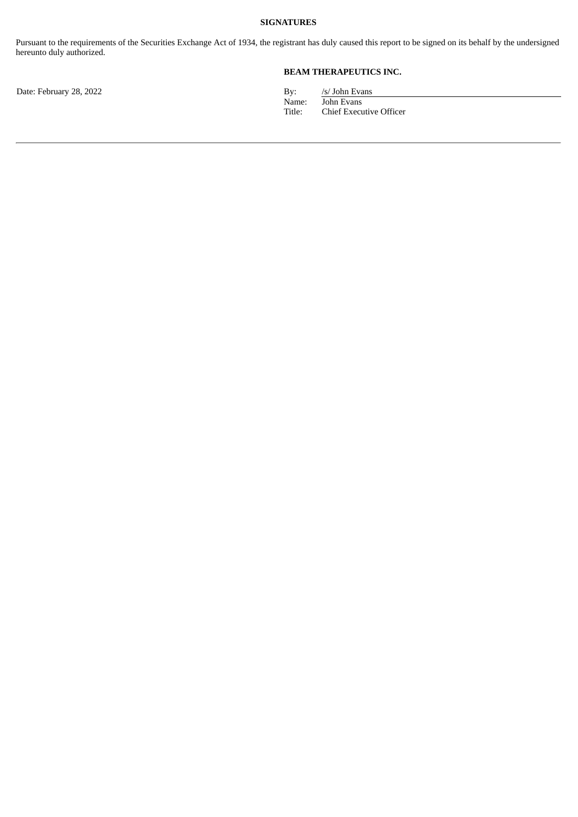#### **SIGNATURES**

Pursuant to the requirements of the Securities Exchange Act of 1934, the registrant has duly caused this report to be signed on its behalf by the undersigned hereunto duly authorized.

## **BEAM THERAPEUTICS INC.**

Date: February 28, 2022 By: /s/ John Evans<br>Name: /s/ John Evans Name: John Evans<br>Title: Chief Execu Chief Executive Officer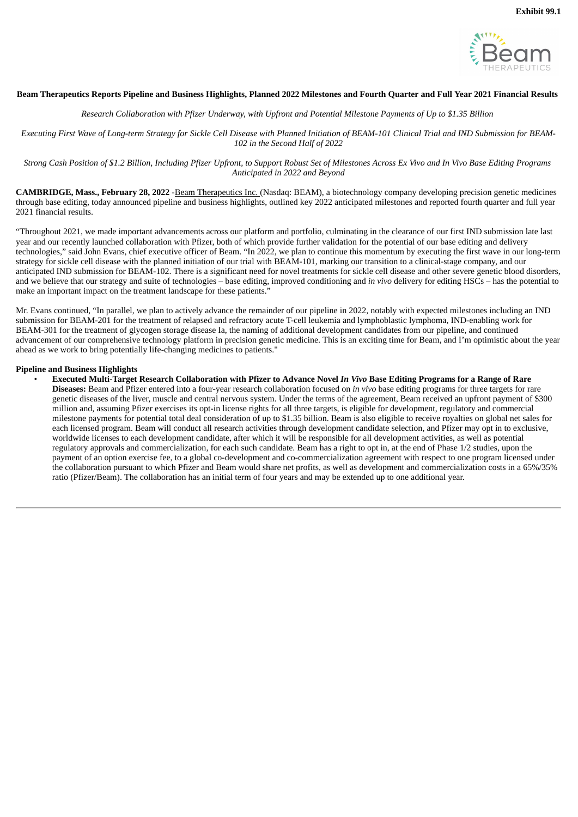

#### <span id="page-3-0"></span>Beam Therapeutics Reports Pipeline and Business Highlights, Planned 2022 Milestones and Fourth Quarter and Full Year 2021 Financial Results

Research Collaboration with Pfizer Underway, with Upfront and Potential Milestone Payments of Up to \$1.35 Billion

Executing First Wave of Long-term Strategy for Sickle Cell Disease with Planned Initiation of BEAM-101 Clinical Trial and IND Submission for BEAM-*102 in the Second Half of 2022*

Strong Cash Position of \$1.2 Billion, Including Pfizer Upfront, to Support Robust Set of Milestones Across Ex Vivo and In Vivo Base Editing Programs *Anticipated in 2022 and Beyond*

**CAMBRIDGE, Mass., February 28, 2022** -Beam Therapeutics Inc. (Nasdaq: BEAM), a biotechnology company developing precision genetic medicines through base editing, today announced pipeline and business highlights, outlined key 2022 anticipated milestones and reported fourth quarter and full year 2021 financial results.

"Throughout 2021, we made important advancements across our platform and portfolio, culminating in the clearance of our first IND submission late last year and our recently launched collaboration with Pfizer, both of which provide further validation for the potential of our base editing and delivery technologies," said John Evans, chief executive officer of Beam. "In 2022, we plan to continue this momentum by executing the first wave in our long-term strategy for sickle cell disease with the planned initiation of our trial with BEAM-101, marking our transition to a clinical-stage company, and our anticipated IND submission for BEAM-102. There is a significant need for novel treatments for sickle cell disease and other severe genetic blood disorders, and we believe that our strategy and suite of technologies – base editing, improved conditioning and *in vivo* delivery for editing HSCs – has the potential to make an important impact on the treatment landscape for these patients."

Mr. Evans continued, "In parallel, we plan to actively advance the remainder of our pipeline in 2022, notably with expected milestones including an IND submission for BEAM-201 for the treatment of relapsed and refractory acute T-cell leukemia and lymphoblastic lymphoma, IND-enabling work for BEAM-301 for the treatment of glycogen storage disease Ia, the naming of additional development candidates from our pipeline, and continued advancement of our comprehensive technology platform in precision genetic medicine. This is an exciting time for Beam, and I'm optimistic about the year ahead as we work to bring potentially life-changing medicines to patients."

#### **Pipeline and Business Highlights**

Executed Multi-Target Research Collaboration with Pfizer to Advance Novel In Vivo Base Editing Programs for a Range of Rare **Diseases:** Beam and Pfizer entered into a four-year research collaboration focused on *in vivo* base editing programs for three targets for rare genetic diseases of the liver, muscle and central nervous system. Under the terms of the agreement, Beam received an upfront payment of \$300 million and, assuming Pfizer exercises its opt-in license rights for all three targets, is eligible for development, regulatory and commercial milestone payments for potential total deal consideration of up to \$1.35 billion. Beam is also eligible to receive royalties on global net sales for each licensed program. Beam will conduct all research activities through development candidate selection, and Pfizer may opt in to exclusive, worldwide licenses to each development candidate, after which it will be responsible for all development activities, as well as potential regulatory approvals and commercialization, for each such candidate. Beam has a right to opt in, at the end of Phase 1/2 studies, upon the payment of an option exercise fee, to a global co-development and co-commercialization agreement with respect to one program licensed under the collaboration pursuant to which Pfizer and Beam would share net profits, as well as development and commercialization costs in a 65%/35% ratio (Pfizer/Beam). The collaboration has an initial term of four years and may be extended up to one additional year.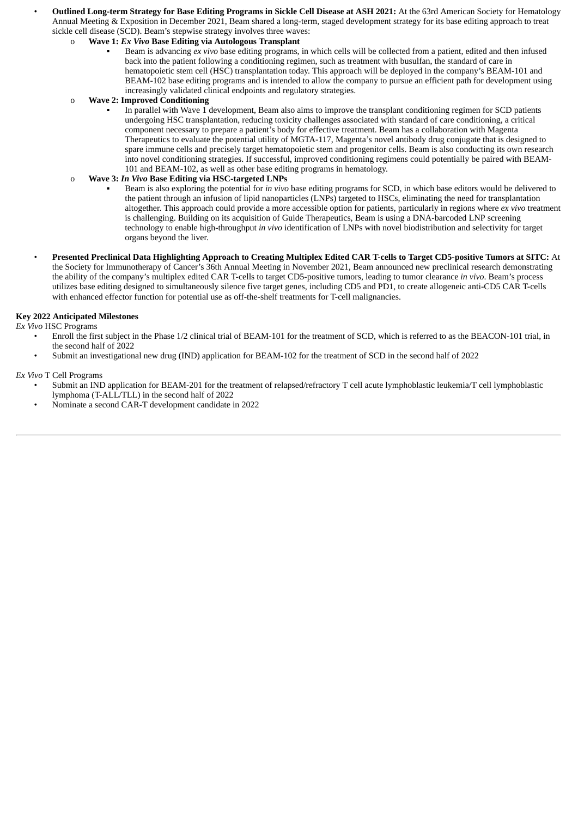Outlined Long-term Strategy for Base Editing Programs in Sickle Cell Disease at ASH 2021: At the 63rd American Society for Hematology Annual Meeting & Exposition in December 2021, Beam shared a long-term, staged development strategy for its base editing approach to treat sickle cell disease (SCD). Beam's stepwise strategy involves three waves:

#### o **Wave 1:** *Ex Vivo* **Base Editing via Autologous Transplant**

Beam is advancing *ex vivo* base editing programs, in which cells will be collected from a patient, edited and then infused back into the patient following a conditioning regimen, such as treatment with busulfan, the standard of care in hematopoietic stem cell (HSC) transplantation today. This approach will be deployed in the company's BEAM-101 and BEAM-102 base editing programs and is intended to allow the company to pursue an efficient path for development using increasingly validated clinical endpoints and regulatory strategies.

#### o **Wave 2: Improved Conditioning**

In parallel with Wave 1 development, Beam also aims to improve the transplant conditioning regimen for SCD patients undergoing HSC transplantation, reducing toxicity challenges associated with standard of care conditioning, a critical component necessary to prepare a patient's body for effective treatment. Beam has a collaboration with Magenta Therapeutics to evaluate the potential utility of MGTA-117, Magenta's novel antibody drug conjugate that is designed to spare immune cells and precisely target hematopoietic stem and progenitor cells. Beam is also conducting its own research into novel conditioning strategies. If successful, improved conditioning regimens could potentially be paired with BEAM-101 and BEAM-102, as well as other base editing programs in hematology.

## o **Wave 3:** *In Vivo* **Base Editing via HSC-targeted LNPs**

- Beam is also exploring the potential for *in vivo* base editing programs for SCD, in which base editors would be delivered to the patient through an infusion of lipid nanoparticles (LNPs) targeted to HSCs, eliminating the need for transplantation altogether. This approach could provide a more accessible option for patients, particularly in regions where *ex vivo* treatment is challenging. Building on its acquisition of Guide Therapeutics, Beam is using a DNA-barcoded LNP screening technology to enable high-throughput *in vivo* identification of LNPs with novel biodistribution and selectivity for target organs beyond the liver.
- Presented Preclinical Data Highlighting Approach to Creating Multiplex Edited CAR T-cells to Target CD5-positive Tumors at SITC: At the Society for Immunotherapy of Cancer's 36th Annual Meeting in November 2021, Beam announced new preclinical research demonstrating the ability of the company's multiplex edited CAR T-cells to target CD5-positive tumors, leading to tumor clearance *in vivo*. Beam's process utilizes base editing designed to simultaneously silence five target genes, including CD5 and PD1, to create allogeneic anti-CD5 CAR T-cells with enhanced effector function for potential use as off-the-shelf treatments for T-cell malignancies.

#### **Key 2022 Anticipated Milestones**

*Ex Vivo* HSC Programs

- Enroll the first subject in the Phase 1/2 clinical trial of BEAM-101 for the treatment of SCD, which is referred to as the BEACON-101 trial, in the second half of 2022
- Submit an investigational new drug (IND) application for BEAM-102 for the treatment of SCD in the second half of 2022

#### *Ex Vivo* T Cell Programs

- Submit an IND application for BEAM-201 for the treatment of relapsed/refractory T cell acute lymphoblastic leukemia/T cell lymphoblastic lymphoma (T-ALL/TLL) in the second half of 2022
- Nominate a second CAR-T development candidate in 2022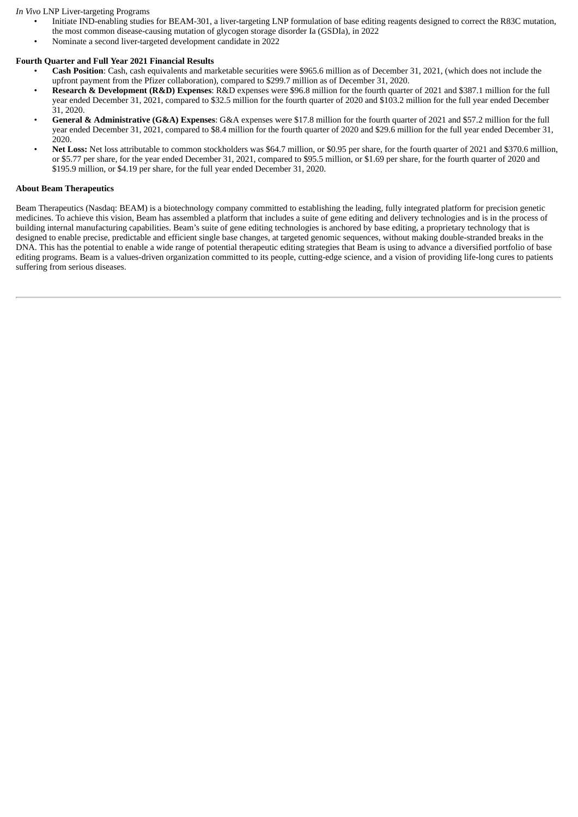#### *In Vivo* LNP Liver-targeting Programs

- Initiate IND-enabling studies for BEAM-301, a liver-targeting LNP formulation of base editing reagents designed to correct the R83C mutation, the most common disease-causing mutation of glycogen storage disorder Ia (GSDIa), in 2022
- Nominate a second liver-targeted development candidate in 2022

# **Fourth Quarter and Full Year 2021 Financial Results**

- **Cash Position**: Cash, cash equivalents and marketable securities were \$965.6 million as of December 31, 2021, (which does not include the upfront payment from the Pfizer collaboration), compared to \$299.7 million as of December 31, 2020.
- **Research & Development (R&D) Expenses**: R&D expenses were \$96.8 million for the fourth quarter of 2021 and \$387.1 million for the full year ended December 31, 2021, compared to \$32.5 million for the fourth quarter of 2020 and \$103.2 million for the full year ended December 31, 2020.
- **General & Administrative (G&A) Expenses**: G&A expenses were \$17.8 million for the fourth quarter of 2021 and \$57.2 million for the full year ended December 31, 2021, compared to \$8.4 million for the fourth quarter of 2020 and \$29.6 million for the full year ended December 31, 2020.
- **Net Loss:** Net loss attributable to common stockholders was \$64.7 million, or \$0.95 per share, for the fourth quarter of 2021 and \$370.6 million, or \$5.77 per share, for the year ended December 31, 2021, compared to \$95.5 million, or \$1.69 per share, for the fourth quarter of 2020 and \$195.9 million, or \$4.19 per share, for the full year ended December 31, 2020.

# **About Beam Therapeutics**

Beam Therapeutics (Nasdaq: BEAM) is a biotechnology company committed to establishing the leading, fully integrated platform for precision genetic medicines. To achieve this vision, Beam has assembled a platform that includes a suite of gene editing and delivery technologies and is in the process of building internal manufacturing capabilities. Beam's suite of gene editing technologies is anchored by base editing, a proprietary technology that is designed to enable precise, predictable and efficient single base changes, at targeted genomic sequences, without making double-stranded breaks in the DNA. This has the potential to enable a wide range of potential therapeutic editing strategies that Beam is using to advance a diversified portfolio of base editing programs. Beam is a values-driven organization committed to its people, cutting-edge science, and a vision of providing life-long cures to patients suffering from serious diseases.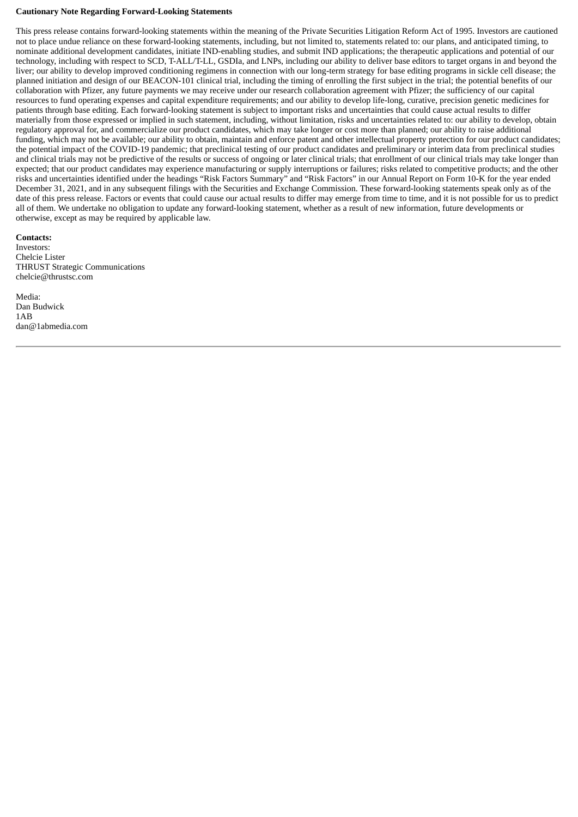#### **Cautionary Note Regarding Forward-Looking Statements**

This press release contains forward-looking statements within the meaning of the Private Securities Litigation Reform Act of 1995. Investors are cautioned not to place undue reliance on these forward-looking statements, including, but not limited to, statements related to: our plans, and anticipated timing, to nominate additional development candidates, initiate IND-enabling studies, and submit IND applications; the therapeutic applications and potential of our technology, including with respect to SCD, T-ALL/T-LL, GSDIa, and LNPs, including our ability to deliver base editors to target organs in and beyond the liver; our ability to develop improved conditioning regimens in connection with our long-term strategy for base editing programs in sickle cell disease; the planned initiation and design of our BEACON-101 clinical trial, including the timing of enrolling the first subject in the trial; the potential benefits of our collaboration with Pfizer, any future payments we may receive under our research collaboration agreement with Pfizer; the sufficiency of our capital resources to fund operating expenses and capital expenditure requirements; and our ability to develop life-long, curative, precision genetic medicines for patients through base editing. Each forward-looking statement is subject to important risks and uncertainties that could cause actual results to differ materially from those expressed or implied in such statement, including, without limitation, risks and uncertainties related to: our ability to develop, obtain regulatory approval for, and commercialize our product candidates, which may take longer or cost more than planned; our ability to raise additional funding, which may not be available; our ability to obtain, maintain and enforce patent and other intellectual property protection for our product candidates; the potential impact of the COVID-19 pandemic; that preclinical testing of our product candidates and preliminary or interim data from preclinical studies and clinical trials may not be predictive of the results or success of ongoing or later clinical trials; that enrollment of our clinical trials may take longer than expected; that our product candidates may experience manufacturing or supply interruptions or failures; risks related to competitive products; and the other risks and uncertainties identified under the headings "Risk Factors Summary" and "Risk Factors" in our Annual Report on Form 10-K for the year ended December 31, 2021, and in any subsequent filings with the Securities and Exchange Commission. These forward-looking statements speak only as of the date of this press release. Factors or events that could cause our actual results to differ may emerge from time to time, and it is not possible for us to predict all of them. We undertake no obligation to update any forward-looking statement, whether as a result of new information, future developments or otherwise, except as may be required by applicable law.

**Contacts:** Investors: Chelcie Lister THRUST Strategic Communications chelcie@thrustsc.com

Media: Dan Budwick 1AB dan@1abmedia.com